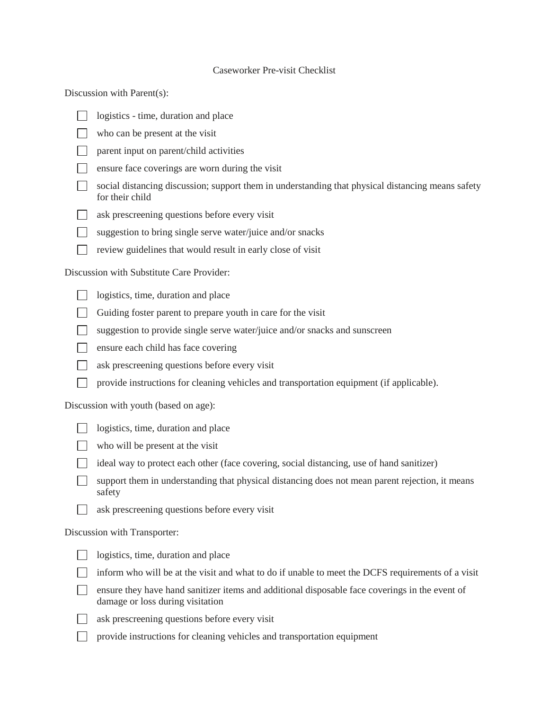## Caseworker Pre-visit Checklist

Discussion with Parent(s):

- $\Box$ logistics - time, duration and place
- who can be present at the visit
- $\Box$  parent input on parent/child activities
- $\Box$  ensure face coverings are worn during the visit
- social distancing discussion; support them in understanding that physical distancing means safety for their child
- ask prescreening questions before every visit
- suggestion to bring single serve water/juice and/or snacks
- review guidelines that would result in early close of visit  $\mathbb{R}^n$

Discussion with Substitute Care Provider:

- $\Box$ logistics, time, duration and place
- Guiding foster parent to prepare youth in care for the visit
- suggestion to provide single serve water/juice and/or snacks and sunscreen
- $\Box$  ensure each child has face covering
- ask prescreening questions before every visit
- provide instructions for cleaning vehicles and transportation equipment (if applicable).  $\Box$

Discussion with youth (based on age):

- logistics, time, duration and place
- who will be present at the visit
- ideal way to protect each other (face covering, social distancing, use of hand sanitizer)
- support them in understanding that physical distancing does not mean parent rejection, it means safety
- $\Box$ ask prescreening questions before every visit

Discussion with Transporter:

- logistics, time, duration and place
- $\Box$  inform who will be at the visit and what to do if unable to meet the DCFS requirements of a visit
- ensure they have hand sanitizer items and additional disposable face coverings in the event of damage or loss during visitation
- $\Box$ 
	- ask prescreening questions before every visit
- provide instructions for cleaning vehicles and transportation equipment